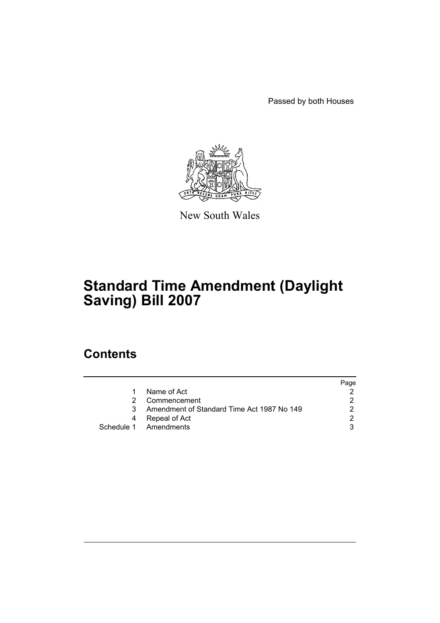Passed by both Houses



New South Wales

# **Standard Time Amendment (Daylight Saving) Bill 2007**

### **Contents**

|    |                                            | Page |
|----|--------------------------------------------|------|
| 1. | Name of Act                                |      |
|    | Commencement                               |      |
| 3. | Amendment of Standard Time Act 1987 No 149 |      |
| 4  | Repeal of Act                              |      |
|    | Schedule 1 Amendments                      |      |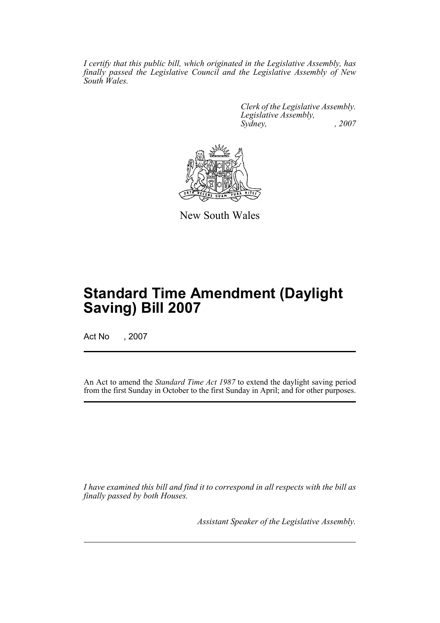*I certify that this public bill, which originated in the Legislative Assembly, has finally passed the Legislative Council and the Legislative Assembly of New South Wales.*

> *Clerk of the Legislative Assembly. Legislative Assembly, Sydney, , 2007*



New South Wales

## **Standard Time Amendment (Daylight Saving) Bill 2007**

Act No , 2007

An Act to amend the *Standard Time Act 1987* to extend the daylight saving period from the first Sunday in October to the first Sunday in April; and for other purposes.

*I have examined this bill and find it to correspond in all respects with the bill as finally passed by both Houses.*

*Assistant Speaker of the Legislative Assembly.*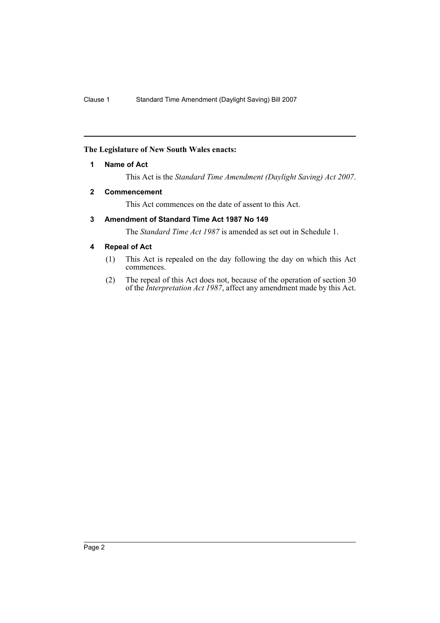#### <span id="page-2-0"></span>**The Legislature of New South Wales enacts:**

#### **1 Name of Act**

This Act is the *Standard Time Amendment (Daylight Saving) Act 2007*.

#### <span id="page-2-1"></span>**2 Commencement**

This Act commences on the date of assent to this Act.

#### <span id="page-2-2"></span>**3 Amendment of Standard Time Act 1987 No 149**

The *Standard Time Act 1987* is amended as set out in Schedule 1.

#### <span id="page-2-3"></span>**4 Repeal of Act**

- (1) This Act is repealed on the day following the day on which this Act commences.
- (2) The repeal of this Act does not, because of the operation of section 30 of the *Interpretation Act 1987*, affect any amendment made by this Act.